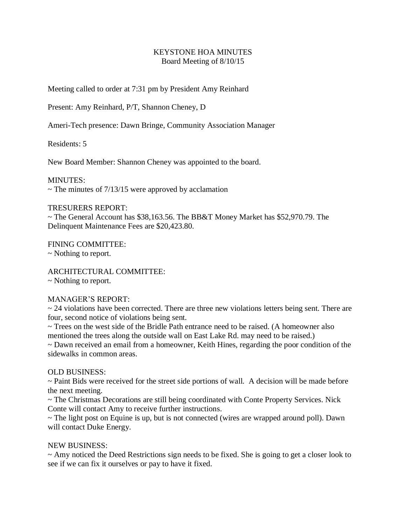# KEYSTONE HOA MINUTES Board Meeting of 8/10/15

Meeting called to order at 7:31 pm by President Amy Reinhard

Present: Amy Reinhard, P/T, Shannon Cheney, D

Ameri-Tech presence: Dawn Bringe, Community Association Manager

Residents: 5

New Board Member: Shannon Cheney was appointed to the board.

MINUTES:

 $\sim$  The minutes of 7/13/15 were approved by acclamation

### TRESURERS REPORT:

~ The General Account has \$38,163.56. The BB&T Money Market has \$52,970.79. The Delinquent Maintenance Fees are \$20,423.80.

FINING COMMITTEE:

~ Nothing to report.

ARCHITECTURAL COMMITTEE:

~ Nothing to report.

## MANAGER'S REPORT:

 $\sim$  24 violations have been corrected. There are three new violations letters being sent. There are four, second notice of violations being sent.

~ Trees on the west side of the Bridle Path entrance need to be raised. (A homeowner also mentioned the trees along the outside wall on East Lake Rd. may need to be raised.)

~ Dawn received an email from a homeowner, Keith Hines, regarding the poor condition of the sidewalks in common areas.

## OLD BUSINESS:

~ Paint Bids were received for the street side portions of wall. A decision will be made before the next meeting.

~ The Christmas Decorations are still being coordinated with Conte Property Services. Nick Conte will contact Amy to receive further instructions.

~ The light post on Equine is up, but is not connected (wires are wrapped around poll). Dawn will contact Duke Energy.

## NEW BUSINESS:

~ Amy noticed the Deed Restrictions sign needs to be fixed. She is going to get a closer look to see if we can fix it ourselves or pay to have it fixed.